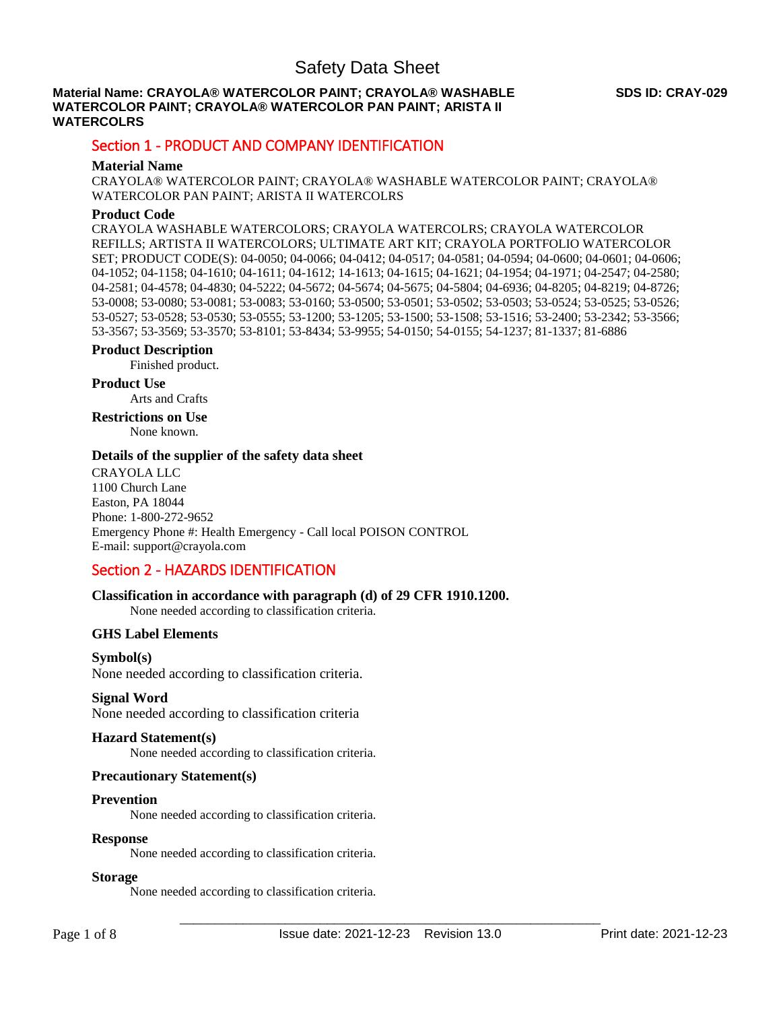### **Material Name: CRAYOLA® WATERCOLOR PAINT; CRAYOLA® WASHABLE WATERCOLOR PAINT; CRAYOLA® WATERCOLOR PAN PAINT; ARISTA II WATERCOLRS**

## Section 1 - PRODUCT AND COMPANY IDENTIFICATION

### **Material Name**

CRAYOLA® WATERCOLOR PAINT; CRAYOLA® WASHABLE WATERCOLOR PAINT; CRAYOLA® WATERCOLOR PAN PAINT; ARISTA II WATERCOLRS

### **Product Code**

CRAYOLA WASHABLE WATERCOLORS; CRAYOLA WATERCOLRS; CRAYOLA WATERCOLOR REFILLS; ARTISTA II WATERCOLORS; ULTIMATE ART KIT; CRAYOLA PORTFOLIO WATERCOLOR SET; PRODUCT CODE(S): 04-0050; 04-0066; 04-0412; 04-0517; 04-0581; 04-0594; 04-0600; 04-0601; 04-0606; 04-1052; 04-1158; 04-1610; 04-1611; 04-1612; 14-1613; 04-1615; 04-1621; 04-1954; 04-1971; 04-2547; 04-2580; 04-2581; 04-4578; 04-4830; 04-5222; 04-5672; 04-5674; 04-5675; 04-5804; 04-6936; 04-8205; 04-8219; 04-8726; 53-0008; 53-0080; 53-0081; 53-0083; 53-0160; 53-0500; 53-0501; 53-0502; 53-0503; 53-0524; 53-0525; 53-0526; 53-0527; 53-0528; 53-0530; 53-0555; 53-1200; 53-1205; 53-1500; 53-1508; 53-1516; 53-2400; 53-2342; 53-3566; 53-3567; 53-3569; 53-3570; 53-8101; 53-8434; 53-9955; 54-0150; 54-0155; 54-1237; 81-1337; 81-6886

### **Product Description**

Finished product.

### **Product Use**

Arts and Crafts

**Restrictions on Use** None known.

### **Details of the supplier of the safety data sheet**

CRAYOLA LLC 1100 Church Lane Easton, PA 18044 Phone: 1-800-272-9652 Emergency Phone #: Health Emergency - Call local POISON CONTROL E-mail: support@crayola.com

## Section 2 - HAZARDS IDENTIFICATION

### **Classification in accordance with paragraph (d) of 29 CFR 1910.1200.**

None needed according to classification criteria.

### **GHS Label Elements**

### **Symbol(s)**

None needed according to classification criteria.

### **Signal Word**

None needed according to classification criteria

### **Hazard Statement(s)**

None needed according to classification criteria.

### **Precautionary Statement(s)**

### **Prevention**

None needed according to classification criteria.

### **Response**

None needed according to classification criteria.

### **Storage**

None needed according to classification criteria.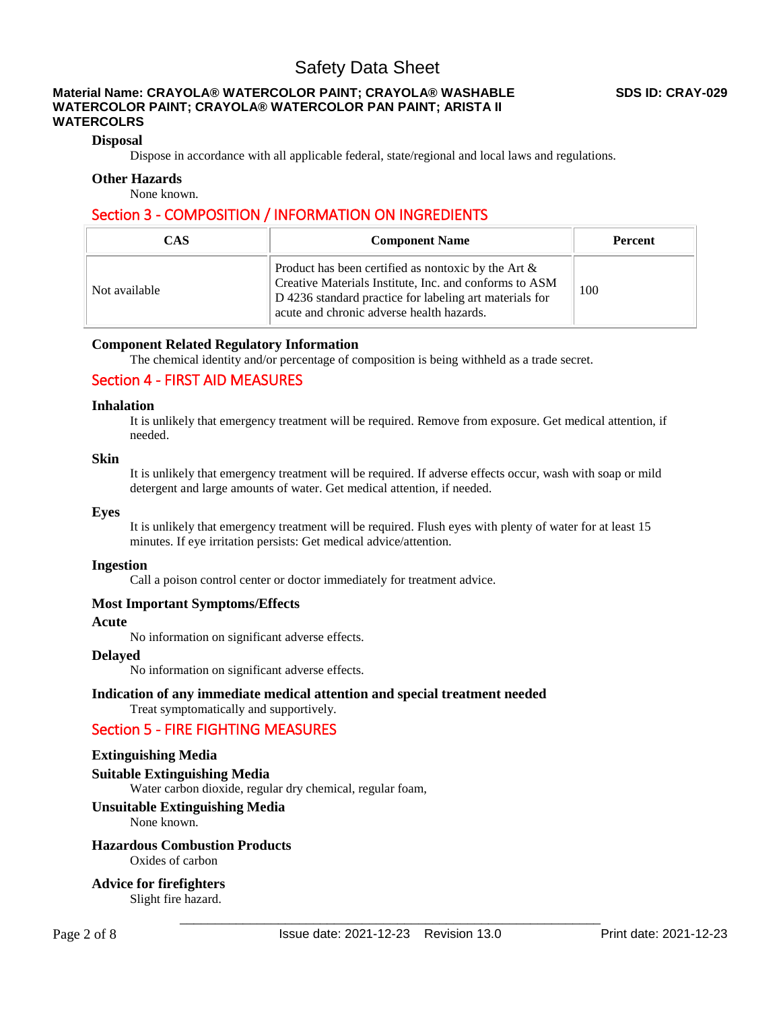### **Material Name: CRAYOLA® WATERCOLOR PAINT; CRAYOLA® WASHABLE WATERCOLOR PAINT; CRAYOLA® WATERCOLOR PAN PAINT; ARISTA II WATERCOLRS**

### **Disposal**

Dispose in accordance with all applicable federal, state/regional and local laws and regulations.

### **Other Hazards**

None known.

## Section 3 - COMPOSITION / INFORMATION ON INGREDIENTS

| <b>CAS</b>    | <b>Component Name</b>                                                                                                                                                                                                    | <b>Percent</b> |
|---------------|--------------------------------------------------------------------------------------------------------------------------------------------------------------------------------------------------------------------------|----------------|
| Not available | Product has been certified as nontoxic by the Art $\&$<br>Creative Materials Institute, Inc. and conforms to ASM<br>D 4236 standard practice for labeling art materials for<br>acute and chronic adverse health hazards. | 100            |

### **Component Related Regulatory Information**

The chemical identity and/or percentage of composition is being withheld as a trade secret.

## Section 4 - FIRST AID MEASURES

### **Inhalation**

It is unlikely that emergency treatment will be required. Remove from exposure. Get medical attention, if needed.

### **Skin**

It is unlikely that emergency treatment will be required. If adverse effects occur, wash with soap or mild detergent and large amounts of water. Get medical attention, if needed.

### **Eyes**

It is unlikely that emergency treatment will be required. Flush eyes with plenty of water for at least 15 minutes. If eye irritation persists: Get medical advice/attention.

### **Ingestion**

Call a poison control center or doctor immediately for treatment advice.

### **Most Important Symptoms/Effects**

### **Acute**

No information on significant adverse effects.

### **Delayed**

No information on significant adverse effects.

### **Indication of any immediate medical attention and special treatment needed**

Treat symptomatically and supportively.

## Section 5 - FIRE FIGHTING MEASURES

### **Extinguishing Media**

**Suitable Extinguishing Media** 

Water carbon dioxide, regular dry chemical, regular foam,

### **Unsuitable Extinguishing Media**

None known.

## **Hazardous Combustion Products**

Oxides of carbon

**Advice for firefighters** 

Slight fire hazard.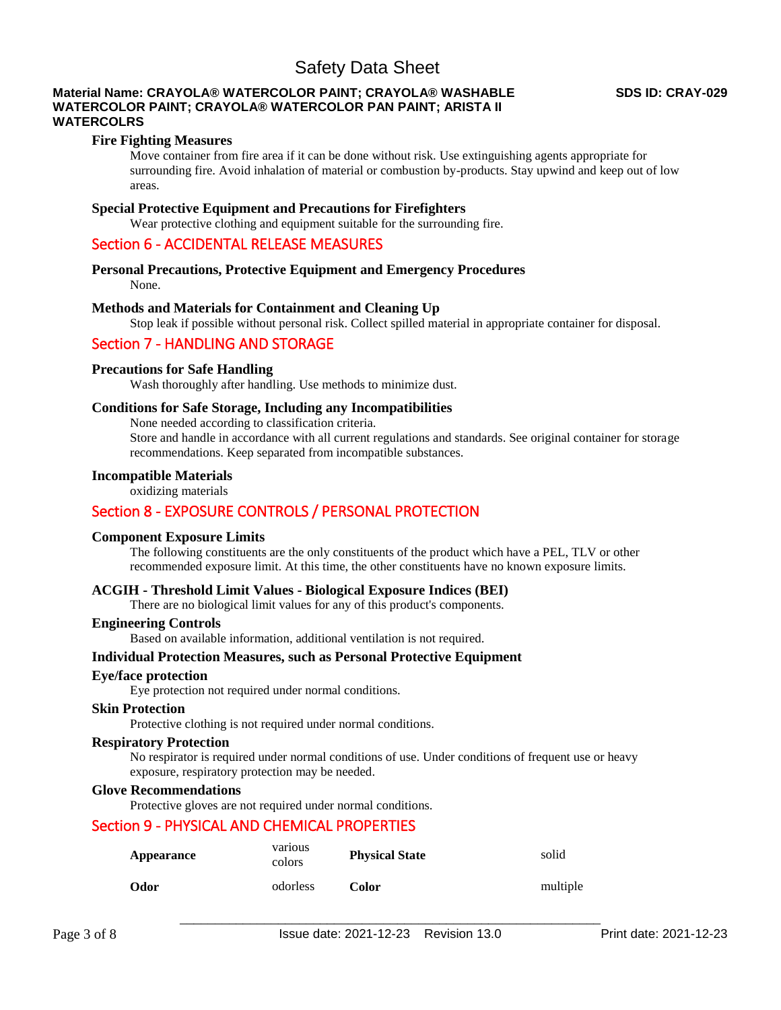### **Material Name: CRAYOLA® WATERCOLOR PAINT; CRAYOLA® WASHABLE WATERCOLOR PAINT; CRAYOLA® WATERCOLOR PAN PAINT; ARISTA II WATERCOLRS**

### **Fire Fighting Measures**

Move container from fire area if it can be done without risk. Use extinguishing agents appropriate for surrounding fire. Avoid inhalation of material or combustion by-products. Stay upwind and keep out of low areas.

### **Special Protective Equipment and Precautions for Firefighters**

Wear protective clothing and equipment suitable for the surrounding fire.

## Section 6 - ACCIDENTAL RELEASE MEASURES

## **Personal Precautions, Protective Equipment and Emergency Procedures**

None.

### **Methods and Materials for Containment and Cleaning Up**

Stop leak if possible without personal risk. Collect spilled material in appropriate container for disposal.

## Section 7 - HANDLING AND STORAGE

### **Precautions for Safe Handling**

Wash thoroughly after handling. Use methods to minimize dust.

### **Conditions for Safe Storage, Including any Incompatibilities**

None needed according to classification criteria.

Store and handle in accordance with all current regulations and standards. See original container for storage recommendations. Keep separated from incompatible substances.

### **Incompatible Materials**

oxidizing materials

## Section 8 - EXPOSURE CONTROLS / PERSONAL PROTECTION

### **Component Exposure Limits**

The following constituents are the only constituents of the product which have a PEL, TLV or other recommended exposure limit. At this time, the other constituents have no known exposure limits.

### **ACGIH - Threshold Limit Values - Biological Exposure Indices (BEI)**

There are no biological limit values for any of this product's components.

### **Engineering Controls**

Based on available information, additional ventilation is not required.

### **Individual Protection Measures, such as Personal Protective Equipment**

### **Eye/face protection**

Eye protection not required under normal conditions.

### **Skin Protection**

Protective clothing is not required under normal conditions.

### **Respiratory Protection**

No respirator is required under normal conditions of use. Under conditions of frequent use or heavy exposure, respiratory protection may be needed.

### **Glove Recommendations**

Protective gloves are not required under normal conditions.

## Section 9 - PHYSICAL AND CHEMICAL PROPERTIES

| Appearance | various<br>colors | <b>Physical State</b> | solid    |
|------------|-------------------|-----------------------|----------|
| Odor       | odorless          | Color                 | multiple |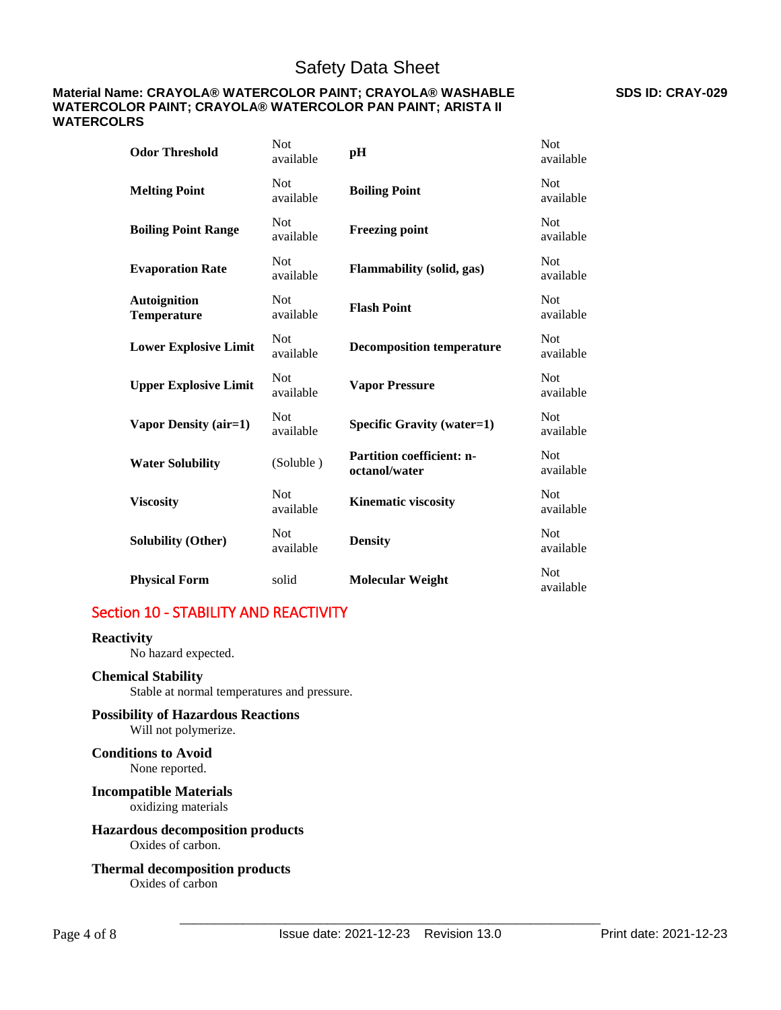### **Material Name: CRAYOLA® WATERCOLOR PAINT; CRAYOLA® WASHABLE WATERCOLOR PAINT; CRAYOLA® WATERCOLOR PAN PAINT; ARISTA II WATERCOLRS**

| <b>Odor Threshold</b>              | <b>Not</b><br>available | pH                                                | Not<br>available        |
|------------------------------------|-------------------------|---------------------------------------------------|-------------------------|
| <b>Melting Point</b>               | <b>Not</b><br>available | <b>Boiling Point</b>                              | <b>Not</b><br>available |
| <b>Boiling Point Range</b>         | Not<br>available        | <b>Freezing point</b>                             | <b>Not</b><br>available |
| <b>Evaporation Rate</b>            | <b>Not</b><br>available | <b>Flammability</b> (solid, gas)                  | <b>Not</b><br>available |
| <b>Autoignition</b><br>Temperature | <b>Not</b><br>available | <b>Flash Point</b>                                | <b>Not</b><br>available |
| <b>Lower Explosive Limit</b>       | <b>Not</b><br>available | <b>Decomposition temperature</b>                  | <b>Not</b><br>available |
| <b>Upper Explosive Limit</b>       | <b>Not</b><br>available | <b>Vapor Pressure</b>                             | <b>Not</b><br>available |
| Vapor Density (air=1)              | <b>Not</b><br>available | <b>Specific Gravity (water=1)</b>                 | <b>Not</b><br>available |
| <b>Water Solubility</b>            | (Soluble)               | <b>Partition coefficient: n-</b><br>octanol/water | <b>Not</b><br>available |
| <b>Viscosity</b>                   | <b>Not</b><br>available | <b>Kinematic viscosity</b>                        | <b>Not</b><br>available |
| <b>Solubility (Other)</b>          | <b>Not</b><br>available | <b>Density</b>                                    | <b>Not</b><br>available |
| <b>Physical Form</b>               | solid                   | <b>Molecular Weight</b>                           | <b>Not</b><br>available |

## Section 10 - STABILITY AND REACTIVITY

### **Reactivity**

No hazard expected.

### **Chemical Stability**

Stable at normal temperatures and pressure.

## **Possibility of Hazardous Reactions**

Will not polymerize. **Conditions to Avoid**

None reported.

### **Incompatible Materials** oxidizing materials

### **Hazardous decomposition products**  Oxides of carbon.

### **Thermal decomposition products**  Oxides of carbon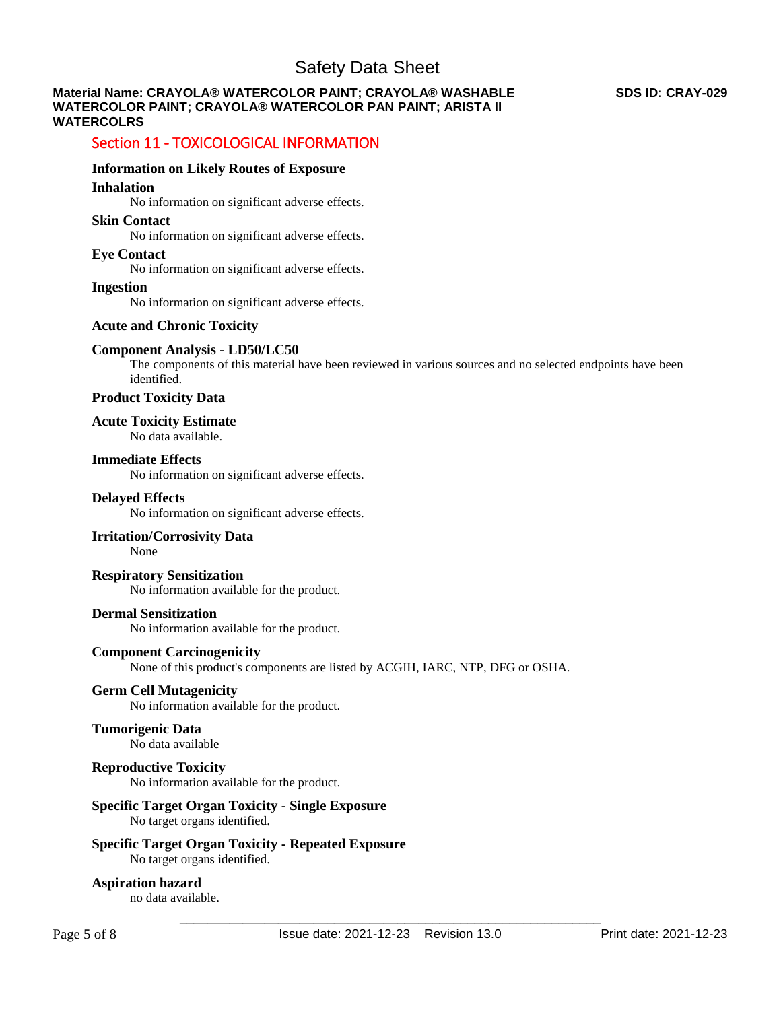### **Material Name: CRAYOLA® WATERCOLOR PAINT; CRAYOLA® WASHABLE WATERCOLOR PAINT; CRAYOLA® WATERCOLOR PAN PAINT; ARISTA II WATERCOLRS**

## Section 11 - TOXICOLOGICAL INFORMATION

### **Information on Likely Routes of Exposure**

### **Inhalation**

No information on significant adverse effects.

### **Skin Contact**

No information on significant adverse effects.

### **Eye Contact**

No information on significant adverse effects.

## **Ingestion**

No information on significant adverse effects.

### **Acute and Chronic Toxicity**

### **Component Analysis - LD50/LC50**

The components of this material have been reviewed in various sources and no selected endpoints have been identified.

### **Product Toxicity Data**

## **Acute Toxicity Estimate**

No data available.

### **Immediate Effects**

No information on significant adverse effects.

### **Delayed Effects**

No information on significant adverse effects.

## **Irritation/Corrosivity Data**

None

### **Respiratory Sensitization**

No information available for the product.

### **Dermal Sensitization**

No information available for the product.

### **Component Carcinogenicity**

None of this product's components are listed by ACGIH, IARC, NTP, DFG or OSHA.

### **Germ Cell Mutagenicity**

No information available for the product.

## **Tumorigenic Data**

No data available

## **Reproductive Toxicity**

No information available for the product.

### **Specific Target Organ Toxicity - Single Exposure**

No target organs identified.

### **Specific Target Organ Toxicity - Repeated Exposure**  No target organs identified.

**Aspiration hazard**  no data available.

### **SDS ID: CRAY-029**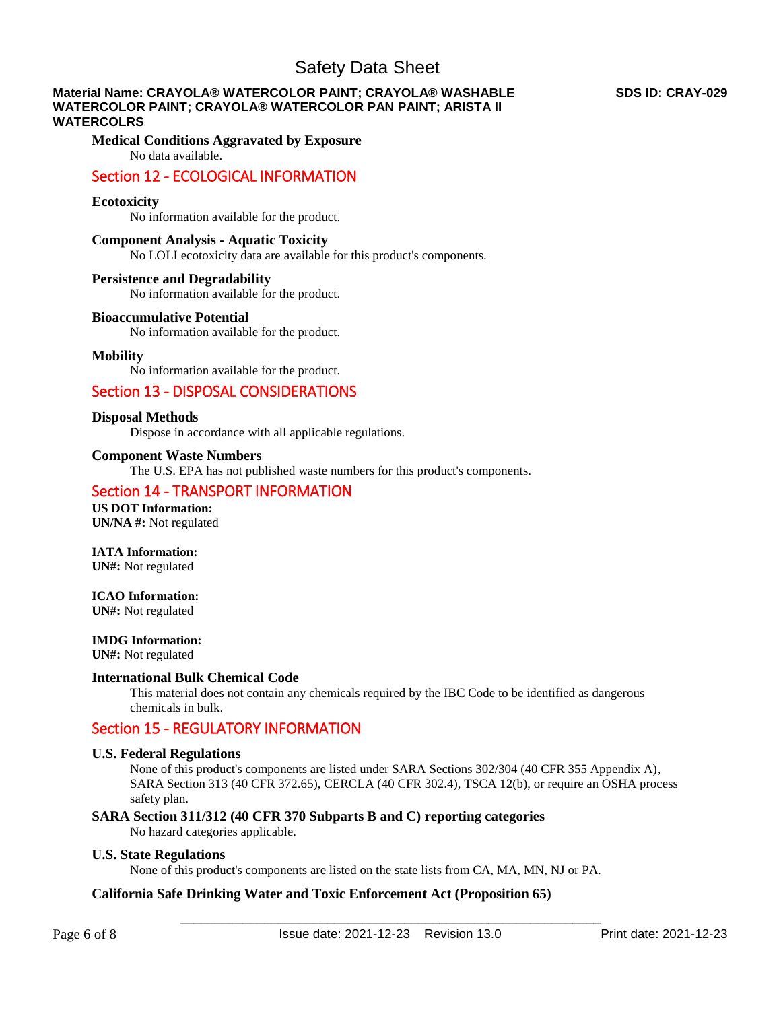### **Material Name: CRAYOLA® WATERCOLOR PAINT; CRAYOLA® WASHABLE WATERCOLOR PAINT; CRAYOLA® WATERCOLOR PAN PAINT; ARISTA II WATERCOLRS**

### **Medical Conditions Aggravated by Exposure** No data available.

## Section 12 - ECOLOGICAL INFORMATION

### **Ecotoxicity**

No information available for the product.

### **Component Analysis - Aquatic Toxicity**

No LOLI ecotoxicity data are available for this product's components.

### **Persistence and Degradability**

No information available for the product.

### **Bioaccumulative Potential**

No information available for the product.

### **Mobility**

No information available for the product.

## Section 13 - DISPOSAL CONSIDERATIONS

### **Disposal Methods**

Dispose in accordance with all applicable regulations.

### **Component Waste Numbers**

The U.S. EPA has not published waste numbers for this product's components.

## Section 14 - TRANSPORT INFORMATION

**US DOT Information: UN/NA #:** Not regulated

### **IATA Information:**

**UN#:** Not regulated

### **ICAO Information:**

**UN#:** Not regulated

### **IMDG Information:**

**UN#:** Not regulated

### **International Bulk Chemical Code**

This material does not contain any chemicals required by the IBC Code to be identified as dangerous chemicals in bulk.

## Section 15 - REGULATORY INFORMATION

### **U.S. Federal Regulations**

None of this product's components are listed under SARA Sections 302/304 (40 CFR 355 Appendix A), SARA Section 313 (40 CFR 372.65), CERCLA (40 CFR 302.4), TSCA 12(b), or require an OSHA process safety plan.

### **SARA Section 311/312 (40 CFR 370 Subparts B and C) reporting categories**

No hazard categories applicable.

### **U.S. State Regulations**

None of this product's components are listed on the state lists from CA, MA, MN, NJ or PA.

### **California Safe Drinking Water and Toxic Enforcement Act (Proposition 65)**

### **SDS ID: CRAY-029**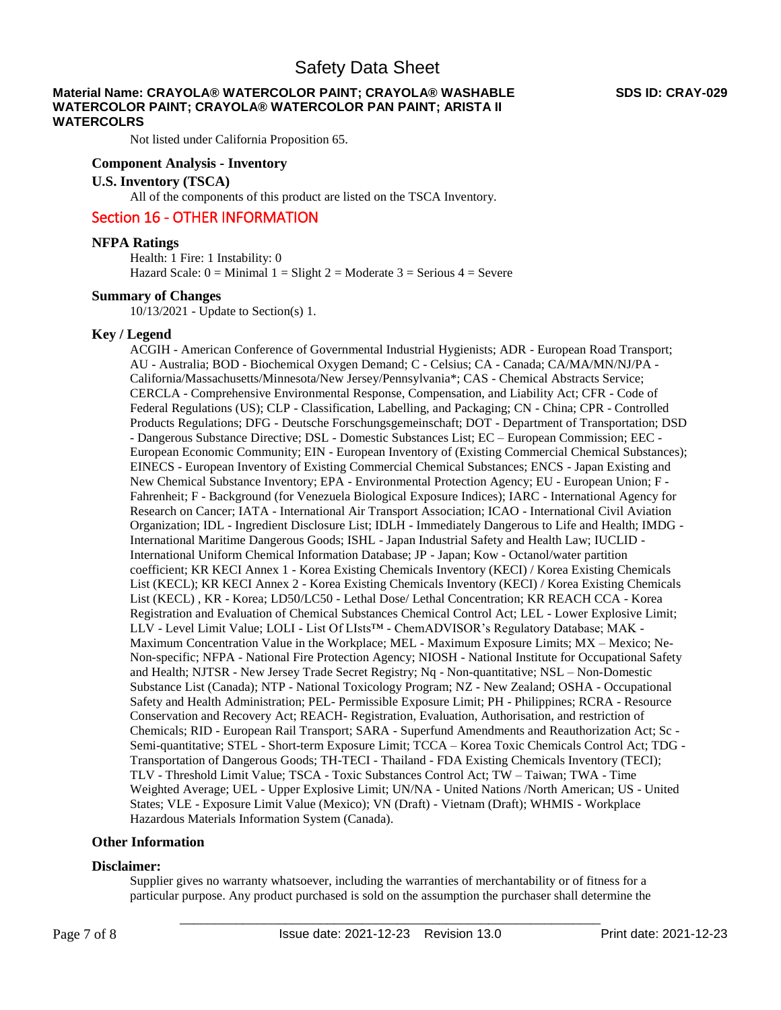### **Material Name: CRAYOLA® WATERCOLOR PAINT; CRAYOLA® WASHABLE WATERCOLOR PAINT; CRAYOLA® WATERCOLOR PAN PAINT; ARISTA II WATERCOLRS**

Not listed under California Proposition 65.

### **Component Analysis - Inventory**

### **U.S. Inventory (TSCA)**

All of the components of this product are listed on the TSCA Inventory.

## Section 16 - OTHER INFORMATION

#### **NFPA Ratings**

Health: 1 Fire: 1 Instability: 0 Hazard Scale:  $0 =$  Minimal  $1 =$  Slight  $2 =$  Moderate  $3 =$  Serious  $4 =$  Severe

### **Summary of Changes**

10/13/2021 - Update to Section(s) 1.

### **Key / Legend**

ACGIH - American Conference of Governmental Industrial Hygienists; ADR - European Road Transport; AU - Australia; BOD - Biochemical Oxygen Demand; C - Celsius; CA - Canada; CA/MA/MN/NJ/PA - California/Massachusetts/Minnesota/New Jersey/Pennsylvania\*; CAS - Chemical Abstracts Service; CERCLA - Comprehensive Environmental Response, Compensation, and Liability Act; CFR - Code of Federal Regulations (US); CLP - Classification, Labelling, and Packaging; CN - China; CPR - Controlled Products Regulations; DFG - Deutsche Forschungsgemeinschaft; DOT - Department of Transportation; DSD - Dangerous Substance Directive; DSL - Domestic Substances List; EC – European Commission; EEC - European Economic Community; EIN - European Inventory of (Existing Commercial Chemical Substances); EINECS - European Inventory of Existing Commercial Chemical Substances; ENCS - Japan Existing and New Chemical Substance Inventory; EPA - Environmental Protection Agency; EU - European Union; F - Fahrenheit; F - Background (for Venezuela Biological Exposure Indices); IARC - International Agency for Research on Cancer; IATA - International Air Transport Association; ICAO - International Civil Aviation Organization; IDL - Ingredient Disclosure List; IDLH - Immediately Dangerous to Life and Health; IMDG - International Maritime Dangerous Goods; ISHL - Japan Industrial Safety and Health Law; IUCLID - International Uniform Chemical Information Database; JP - Japan; Kow - Octanol/water partition coefficient; KR KECI Annex 1 - Korea Existing Chemicals Inventory (KECI) / Korea Existing Chemicals List (KECL); KR KECI Annex 2 - Korea Existing Chemicals Inventory (KECI) / Korea Existing Chemicals List (KECL) , KR - Korea; LD50/LC50 - Lethal Dose/ Lethal Concentration; KR REACH CCA - Korea Registration and Evaluation of Chemical Substances Chemical Control Act; LEL - Lower Explosive Limit; LLV - Level Limit Value; LOLI - List Of LIsts™ - ChemADVISOR's Regulatory Database; MAK - Maximum Concentration Value in the Workplace; MEL - Maximum Exposure Limits; MX – Mexico; Ne-Non-specific; NFPA - National Fire Protection Agency; NIOSH - National Institute for Occupational Safety and Health; NJTSR - New Jersey Trade Secret Registry; Nq - Non-quantitative; NSL – Non-Domestic Substance List (Canada); NTP - National Toxicology Program; NZ - New Zealand; OSHA - Occupational Safety and Health Administration; PEL- Permissible Exposure Limit; PH - Philippines; RCRA - Resource Conservation and Recovery Act; REACH- Registration, Evaluation, Authorisation, and restriction of Chemicals; RID - European Rail Transport; SARA - Superfund Amendments and Reauthorization Act; Sc - Semi-quantitative; STEL - Short-term Exposure Limit; TCCA – Korea Toxic Chemicals Control Act; TDG - Transportation of Dangerous Goods; TH-TECI - Thailand - FDA Existing Chemicals Inventory (TECI); TLV - Threshold Limit Value; TSCA - Toxic Substances Control Act; TW – Taiwan; TWA - Time Weighted Average; UEL - Upper Explosive Limit; UN/NA - United Nations /North American; US - United States; VLE - Exposure Limit Value (Mexico); VN (Draft) - Vietnam (Draft); WHMIS - Workplace Hazardous Materials Information System (Canada).

### **Other Information**

#### **Disclaimer:**

Supplier gives no warranty whatsoever, including the warranties of merchantability or of fitness for a particular purpose. Any product purchased is sold on the assumption the purchaser shall determine the